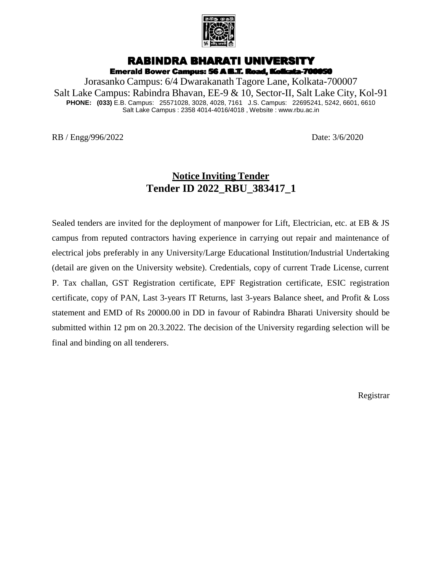

# RABINDRA BHARATI UNIVERSITY

Emerald Bower Campus: 56 A B.T. Road, Kolkata-700050

Jorasanko Campus: 6/4 Dwarakanath Tagore Lane, Kolkata-700007 Salt Lake Campus: Rabindra Bhavan, EE-9 & 10, Sector-II, Salt Lake City, Kol-91 **PHONE: (033)** E.B. Campus: 25571028, 3028, 4028, 7161 J.S. Campus: 22695241, 5242, 6601, 6610 Salt Lake Campus : 2358 4014-4016/4018 , Website : www.rbu.ac.in

RB / Engg/996/2022 Date: 3/6/2020

# **Notice Inviting Tender Tender ID 2022\_RBU\_383417\_1**

Sealed tenders are invited for the deployment of manpower for Lift, Electrician, etc. at EB & JS campus from reputed contractors having experience in carrying out repair and maintenance of electrical jobs preferably in any University/Large Educational Institution/Industrial Undertaking (detail are given on the University website). Credentials, copy of current Trade License, current P. Tax challan, GST Registration certificate, EPF Registration certificate, ESIC registration certificate, copy of PAN, Last 3-years IT Returns, last 3-years Balance sheet, and Profit & Loss statement and EMD of Rs 20000.00 in DD in favour of Rabindra Bharati University should be submitted within 12 pm on 20.3.2022. The decision of the University regarding selection will be final and binding on all tenderers.

Registrar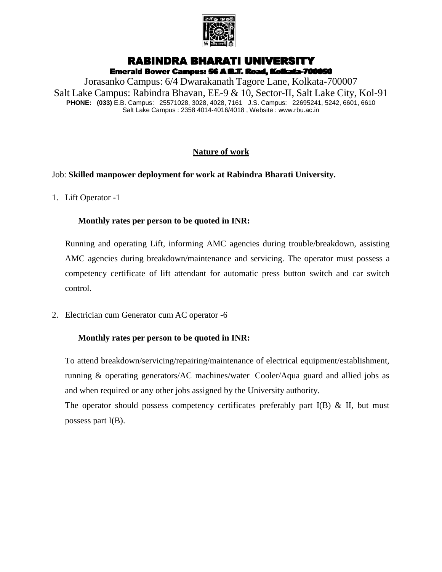

# RABINDRA BHARATI UNIVERSITY

Emerald Bower Campus: 56 A B.T. Road, Kolkata-700050

Jorasanko Campus: 6/4 Dwarakanath Tagore Lane, Kolkata-700007 Salt Lake Campus: Rabindra Bhavan, EE-9 & 10, Sector-II, Salt Lake City, Kol-91 **PHONE: (033)** E.B. Campus: 25571028, 3028, 4028, 7161 J.S. Campus: 22695241, 5242, 6601, 6610 Salt Lake Campus : 2358 4014-4016/4018 , Website : www.rbu.ac.in

## **Nature of work**

## Job: **Skilled manpower deployment for work at Rabindra Bharati University.**

1. Lift Operator -1

### **Monthly rates per person to be quoted in INR:**

Running and operating Lift, informing AMC agencies during trouble/breakdown, assisting AMC agencies during breakdown/maintenance and servicing. The operator must possess a competency certificate of lift attendant for automatic press button switch and car switch control.

2. Electrician cum Generator cum AC operator -6

### **Monthly rates per person to be quoted in INR:**

To attend breakdown/servicing/repairing/maintenance of electrical equipment/establishment, running & operating generators/AC machines/water Cooler/Aqua guard and allied jobs as and when required or any other jobs assigned by the University authority.

The operator should possess competency certificates preferably part  $I(B) \& II$ , but must possess part I(B).